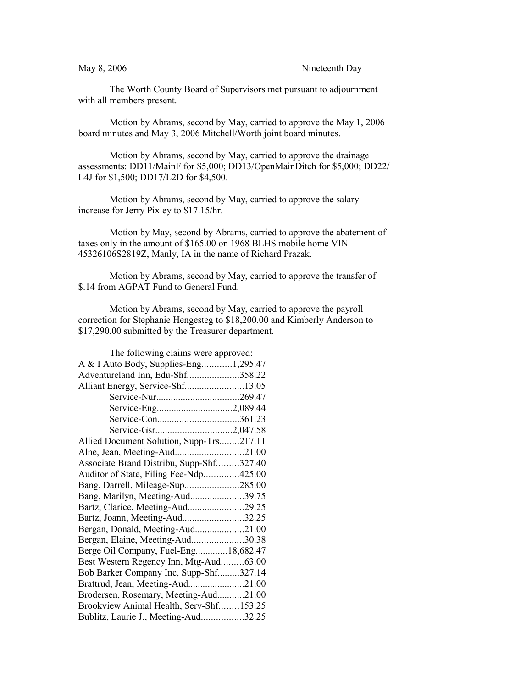The Worth County Board of Supervisors met pursuant to adjournment with all members present.

Motion by Abrams, second by May, carried to approve the May 1, 2006 board minutes and May 3, 2006 Mitchell/Worth joint board minutes.

Motion by Abrams, second by May, carried to approve the drainage assessments: DD11/MainF for \$5,000; DD13/OpenMainDitch for \$5,000; DD22/ L4J for \$1,500; DD17/L2D for \$4,500.

Motion by Abrams, second by May, carried to approve the salary increase for Jerry Pixley to \$17.15/hr.

Motion by May, second by Abrams, carried to approve the abatement of taxes only in the amount of \$165.00 on 1968 BLHS mobile home VIN 45326106S2819Z, Manly, IA in the name of Richard Prazak.

Motion by Abrams, second by May, carried to approve the transfer of \$.14 from AGPAT Fund to General Fund.

Motion by Abrams, second by May, carried to approve the payroll correction for Stephanie Hengesteg to \$18,200.00 and Kimberly Anderson to \$17,290.00 submitted by the Treasurer department.

| The following claims were approved:      |  |
|------------------------------------------|--|
| A & I Auto Body, Supplies-Eng1,295.47    |  |
| Adventureland Inn, Edu-Shf358.22         |  |
| Alliant Energy, Service-Shf13.05         |  |
|                                          |  |
| Service-Eng2,089.44                      |  |
|                                          |  |
|                                          |  |
| Allied Document Solution, Supp-Trs217.11 |  |
| Alne, Jean, Meeting-Aud21.00             |  |
| Associate Brand Distribu, Supp-Shf327.40 |  |
| Auditor of State, Filing Fee-Ndp425.00   |  |
| Bang, Darrell, Mileage-Sup285.00         |  |
| Bang, Marilyn, Meeting-Aud39.75          |  |
| Bartz, Clarice, Meeting-Aud29.25         |  |
| Bartz, Joann, Meeting-Aud32.25           |  |
| Bergan, Donald, Meeting-Aud21.00         |  |
| Bergan, Elaine, Meeting-Aud30.38         |  |
| Berge Oil Company, Fuel-Eng18,682.47     |  |
| Best Western Regency Inn, Mtg-Aud63.00   |  |
| Bob Barker Company Inc, Supp-Shf327.14   |  |
| Brattrud, Jean, Meeting-Aud21.00         |  |
| Brodersen, Rosemary, Meeting-Aud21.00    |  |
| Brookview Animal Health, Serv-Shf153.25  |  |
| Bublitz, Laurie J., Meeting-Aud32.25     |  |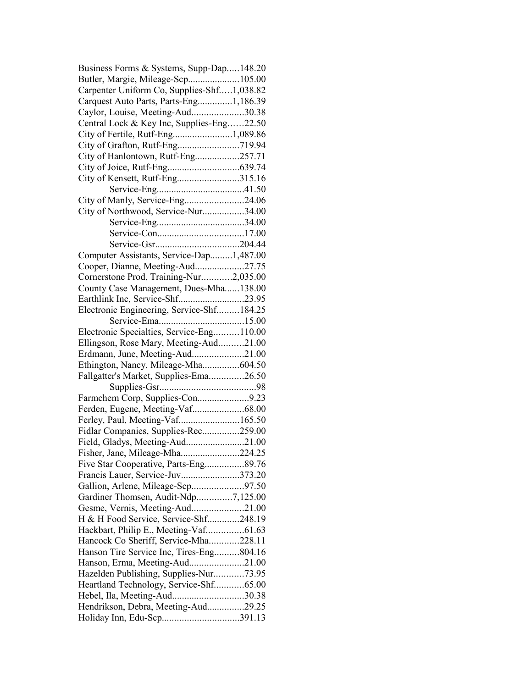| Business Forms & Systems, Supp-Dap148.20   |  |
|--------------------------------------------|--|
| Butler, Margie, Mileage-Scp105.00          |  |
| Carpenter Uniform Co, Supplies-Shf1,038.82 |  |
| Carquest Auto Parts, Parts-Eng1,186.39     |  |
| Caylor, Louise, Meeting-Aud30.38           |  |
| Central Lock & Key Inc, Supplies-Eng22.50  |  |
|                                            |  |
|                                            |  |
| City of Hanlontown, Rutf-Eng257.71         |  |
|                                            |  |
|                                            |  |
| City of Kensett, Rutf-Eng315.16            |  |
|                                            |  |
| City of Manly, Service-Eng24.06            |  |
| City of Northwood, Service-Nur34.00        |  |
|                                            |  |
|                                            |  |
|                                            |  |
| Computer Assistants, Service-Dap1,487.00   |  |
| Cooper, Dianne, Meeting-Aud27.75           |  |
| Cornerstone Prod, Training-Nur2,035.00     |  |
| County Case Management, Dues-Mha138.00     |  |
| Earthlink Inc, Service-Shf23.95            |  |
| Electronic Engineering, Service-Shf184.25  |  |
|                                            |  |
| Electronic Specialties, Service-Eng110.00  |  |
| Ellingson, Rose Mary, Meeting-Aud21.00     |  |
| Erdmann, June, Meeting-Aud21.00            |  |
| Ethington, Nancy, Mileage-Mha604.50        |  |
|                                            |  |
| Fallgatter's Market, Supplies-Ema26.50     |  |
|                                            |  |
| Farmchem Corp, Supplies-Con9.23            |  |
|                                            |  |
| Ferley, Paul, Meeting-Vaf165.50            |  |
| Fidlar Companies, Supplies-Rec259.00       |  |
| Field, Gladys, Meeting-Aud21.00            |  |
| Fisher, Jane, Mileage-Mha224.25            |  |
| Five Star Cooperative, Parts-Eng89.76      |  |
| Francis Lauer, Service-Juv373.20           |  |
| Gallion, Arlene, Mileage-Scp97.50          |  |
| Gardiner Thomsen, Audit-Ndp7,125.00        |  |
| Gesme, Vernis, Meeting-Aud21.00            |  |
| H & H Food Service, Service-Shf248.19      |  |
| Hackbart, Philip E., Meeting-Vaf61.63      |  |
| Hancock Co Sheriff, Service-Mha228.11      |  |
|                                            |  |
| Hanson Tire Service Inc, Tires-Eng804.16   |  |
| Hanson, Erma, Meeting-Aud21.00             |  |
| Hazelden Publishing, Supplies-Nur73.95     |  |
| Heartland Technology, Service-Shf65.00     |  |
| Hebel, Ila, Meeting-Aud30.38               |  |
| Hendrikson, Debra, Meeting-Aud29.25        |  |
| Holiday Inn, Edu-Scp391.13                 |  |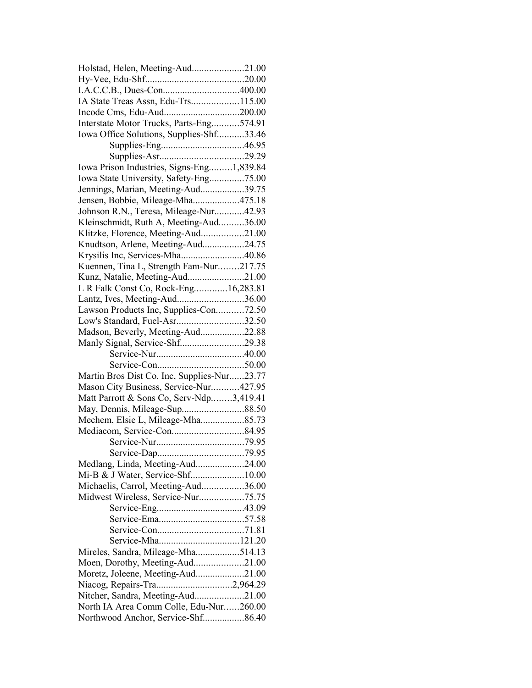| Holstad, Helen, Meeting-Aud21.00            |  |
|---------------------------------------------|--|
|                                             |  |
|                                             |  |
| IA State Treas Assn, Edu-Trs115.00          |  |
|                                             |  |
| Interstate Motor Trucks, Parts-Eng574.91    |  |
| Iowa Office Solutions, Supplies-Shf33.46    |  |
|                                             |  |
|                                             |  |
| Iowa Prison Industries, Signs-Eng1,839.84   |  |
| Iowa State University, Safety-Eng75.00      |  |
| Jennings, Marian, Meeting-Aud39.75          |  |
| Jensen, Bobbie, Mileage-Mha475.18           |  |
| Johnson R.N., Teresa, Mileage-Nur42.93      |  |
| Kleinschmidt, Ruth A, Meeting-Aud36.00      |  |
| Klitzke, Florence, Meeting-Aud21.00         |  |
| Knudtson, Arlene, Meeting-Aud24.75          |  |
| Krysilis Inc, Services-Mha40.86             |  |
| Kuennen, Tina L, Strength Fam-Nur217.75     |  |
| Kunz, Natalie, Meeting-Aud21.00             |  |
| L R Falk Const Co, Rock-Eng16,283.81        |  |
| Lantz, Ives, Meeting-Aud36.00               |  |
| Lawson Products Inc, Supplies-Con72.50      |  |
| Low's Standard, Fuel-Asr32.50               |  |
| Madson, Beverly, Meeting-Aud22.88           |  |
| Manly Signal, Service-Shf29.38              |  |
|                                             |  |
|                                             |  |
| Martin Bros Dist Co. Inc, Supplies-Nur23.77 |  |
| Mason City Business, Service-Nur427.95      |  |
| Matt Parrott & Sons Co, Serv-Ndp3,419.41    |  |
|                                             |  |
| Mechem, Elsie L, Mileage-Mha85.73           |  |
|                                             |  |
|                                             |  |
|                                             |  |
| Medlang, Linda, Meeting-Aud24.00            |  |
| Mi-B & J Water, Service-Shf10.00            |  |
| Michaelis, Carrol, Meeting-Aud36.00         |  |
| Midwest Wireless, Service-Nur75.75          |  |
|                                             |  |
|                                             |  |
|                                             |  |
| Service-Mha121.20                           |  |
| Mireles, Sandra, Mileage-Mha514.13          |  |
| Moen, Dorothy, Meeting-Aud21.00             |  |
| Moretz, Joleene, Meeting-Aud21.00           |  |
| Niacog, Repairs-Tra2,964.29                 |  |
| Nitcher, Sandra, Meeting-Aud21.00           |  |
| North IA Area Comm Colle, Edu-Nur260.00     |  |
|                                             |  |
| Northwood Anchor, Service-Shf86.40          |  |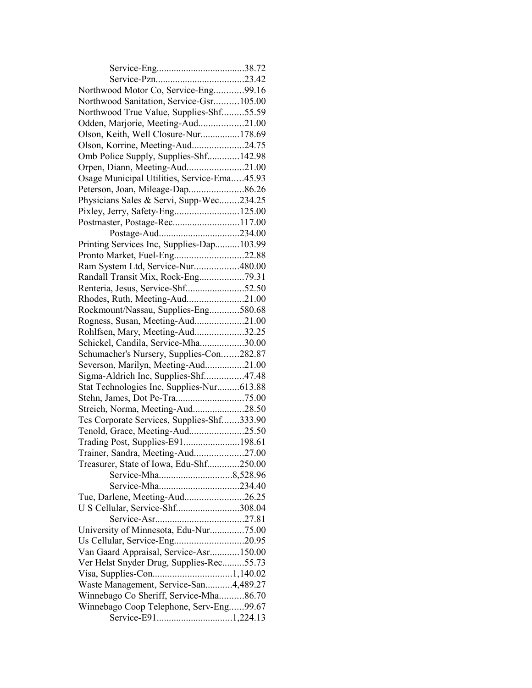| Northwood Motor Co, Service-Eng99.16        |  |
|---------------------------------------------|--|
| Northwood Sanitation, Service-Gsr105.00     |  |
| Northwood True Value, Supplies-Shf55.59     |  |
| Odden, Marjorie, Meeting-Aud21.00           |  |
| Olson, Keith, Well Closure-Nur178.69        |  |
| Olson, Korrine, Meeting-Aud24.75            |  |
| Omb Police Supply, Supplies-Shf142.98       |  |
| Orpen, Diann, Meeting-Aud21.00              |  |
| Osage Municipal Utilities, Service-Ema45.93 |  |
| Peterson, Joan, Mileage-Dap86.26            |  |
| Physicians Sales & Servi, Supp-Wec234.25    |  |
| Pixley, Jerry, Safety-Eng125.00             |  |
| Postmaster, Postage-Rec117.00               |  |
|                                             |  |
| Printing Services Inc, Supplies-Dap103.99   |  |
| Pronto Market, Fuel-Eng22.88                |  |
| Ram System Ltd, Service-Nur480.00           |  |
| Randall Transit Mix, Rock-Eng79.31          |  |
| Renteria, Jesus, Service-Shf52.50           |  |
| Rhodes, Ruth, Meeting-Aud21.00              |  |
| Rockmount/Nassau, Supplies-Eng580.68        |  |
| Rogness, Susan, Meeting-Aud21.00            |  |
| Rohlfsen, Mary, Meeting-Aud32.25            |  |
| Schickel, Candila, Service-Mha30.00         |  |
| Schumacher's Nursery, Supplies-Con282.87    |  |
| Severson, Marilyn, Meeting-Aud21.00         |  |
| Sigma-Aldrich Inc, Supplies-Shf47.48        |  |
| Stat Technologies Inc, Supplies-Nur613.88   |  |
|                                             |  |
| Streich, Norma, Meeting-Aud28.50            |  |
| Tcs Corporate Services, Supplies-Shf333.90  |  |
| Tenold, Grace, Meeting-Aud25.50             |  |
| Trading Post, Supplies-E91198.61            |  |
| Trainer, Sandra, Meeting-Aud27.00           |  |
| Treasurer, State of Iowa, Edu-Shf250.00     |  |
|                                             |  |
|                                             |  |
| Tue, Darlene, Meeting-Aud26.25              |  |
| U S Cellular, Service-Shf308.04             |  |
|                                             |  |
| University of Minnesota, Edu-Nur75.00       |  |
| Us Cellular, Service-Eng20.95               |  |
| Van Gaard Appraisal, Service-Asr150.00      |  |
| Ver Helst Snyder Drug, Supplies-Rec55.73    |  |
|                                             |  |
| Waste Management, Service-San4,489.27       |  |
| Winnebago Co Sheriff, Service-Mha86.70      |  |
| Winnebago Coop Telephone, Serv-Eng99.67     |  |
|                                             |  |
|                                             |  |